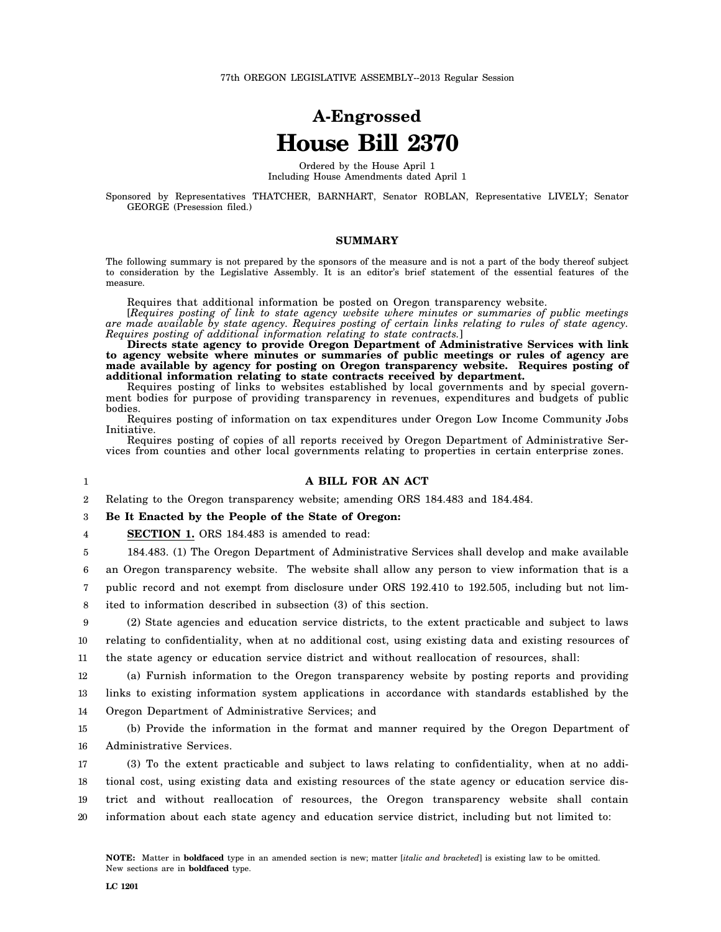# **A-Engrossed House Bill 2370**

Ordered by the House April 1 Including House Amendments dated April 1

Sponsored by Representatives THATCHER, BARNHART, Senator ROBLAN, Representative LIVELY; Senator GEORGE (Presession filed.)

## **SUMMARY**

The following summary is not prepared by the sponsors of the measure and is not a part of the body thereof subject to consideration by the Legislative Assembly. It is an editor's brief statement of the essential features of the measure.

Requires that additional information be posted on Oregon transparency website.

[*Requires posting of link to state agency website where minutes or summaries of public meetings are made available by state agency. Requires posting of certain links relating to rules of state agency. Requires posting of additional information relating to state contracts.*]

**Directs state agency to provide Oregon Department of Administrative Services with link to agency website where minutes or summaries of public meetings or rules of agency are made available by agency for posting on Oregon transparency website. Requires posting of additional information relating to state contracts received by department.**

Requires posting of links to websites established by local governments and by special government bodies for purpose of providing transparency in revenues, expenditures and budgets of public bodies.

Requires posting of information on tax expenditures under Oregon Low Income Community Jobs Initiative.

Requires posting of copies of all reports received by Oregon Department of Administrative Services from counties and other local governments relating to properties in certain enterprise zones.

## 1

#### **A BILL FOR AN ACT**

2 Relating to the Oregon transparency website; amending ORS 184.483 and 184.484.

3 **Be It Enacted by the People of the State of Oregon:**

4 **SECTION 1.** ORS 184.483 is amended to read:

5 184.483. (1) The Oregon Department of Administrative Services shall develop and make available

6 7 an Oregon transparency website. The website shall allow any person to view information that is a public record and not exempt from disclosure under ORS 192.410 to 192.505, including but not lim-

8 ited to information described in subsection (3) of this section.

9 10 11 (2) State agencies and education service districts, to the extent practicable and subject to laws relating to confidentiality, when at no additional cost, using existing data and existing resources of the state agency or education service district and without reallocation of resources, shall:

12 13 14 (a) Furnish information to the Oregon transparency website by posting reports and providing links to existing information system applications in accordance with standards established by the Oregon Department of Administrative Services; and

15 16 (b) Provide the information in the format and manner required by the Oregon Department of Administrative Services.

17 18 19 20 (3) To the extent practicable and subject to laws relating to confidentiality, when at no additional cost, using existing data and existing resources of the state agency or education service district and without reallocation of resources, the Oregon transparency website shall contain information about each state agency and education service district, including but not limited to: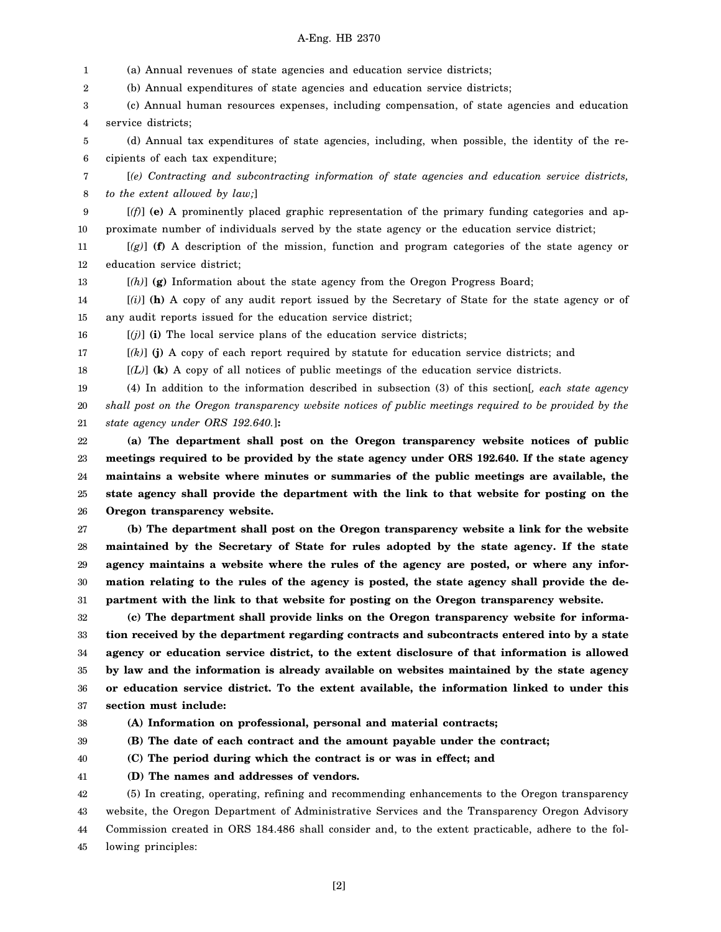# A-Eng. HB 2370

1 2 3 4 5 6 7 8 9 10 11 12 13 14 15 16 17 18 19 20 21 22 23 24 25 26 27 28 29 30 31 32 33 34 35 36 37 38 39 40 41 (a) Annual revenues of state agencies and education service districts; (b) Annual expenditures of state agencies and education service districts; (c) Annual human resources expenses, including compensation, of state agencies and education service districts; (d) Annual tax expenditures of state agencies, including, when possible, the identity of the recipients of each tax expenditure; [*(e) Contracting and subcontracting information of state agencies and education service districts, to the extent allowed by law;*] [*(f)*] **(e)** A prominently placed graphic representation of the primary funding categories and approximate number of individuals served by the state agency or the education service district; [*(g)*] **(f)** A description of the mission, function and program categories of the state agency or education service district; [*(h)*] **(g)** Information about the state agency from the Oregon Progress Board; [*(i)*] **(h)** A copy of any audit report issued by the Secretary of State for the state agency or of any audit reports issued for the education service district;  $[(j)]$  (i) The local service plans of the education service districts; [*(k)*] **(j)** A copy of each report required by statute for education service districts; and [*(L)*] **(k)** A copy of all notices of public meetings of the education service districts. (4) In addition to the information described in subsection (3) of this section[*, each state agency shall post on the Oregon transparency website notices of public meetings required to be provided by the state agency under ORS 192.640.*]**: (a) The department shall post on the Oregon transparency website notices of public meetings required to be provided by the state agency under ORS 192.640. If the state agency maintains a website where minutes or summaries of the public meetings are available, the state agency shall provide the department with the link to that website for posting on the Oregon transparency website. (b) The department shall post on the Oregon transparency website a link for the website maintained by the Secretary of State for rules adopted by the state agency. If the state agency maintains a website where the rules of the agency are posted, or where any information relating to the rules of the agency is posted, the state agency shall provide the department with the link to that website for posting on the Oregon transparency website. (c) The department shall provide links on the Oregon transparency website for information received by the department regarding contracts and subcontracts entered into by a state agency or education service district, to the extent disclosure of that information is allowed by law and the information is already available on websites maintained by the state agency or education service district. To the extent available, the information linked to under this section must include: (A) Information on professional, personal and material contracts; (B) The date of each contract and the amount payable under the contract; (C) The period during which the contract is or was in effect; and (D) The names and addresses of vendors.**

42 43 44 45 (5) In creating, operating, refining and recommending enhancements to the Oregon transparency website, the Oregon Department of Administrative Services and the Transparency Oregon Advisory Commission created in ORS 184.486 shall consider and, to the extent practicable, adhere to the following principles: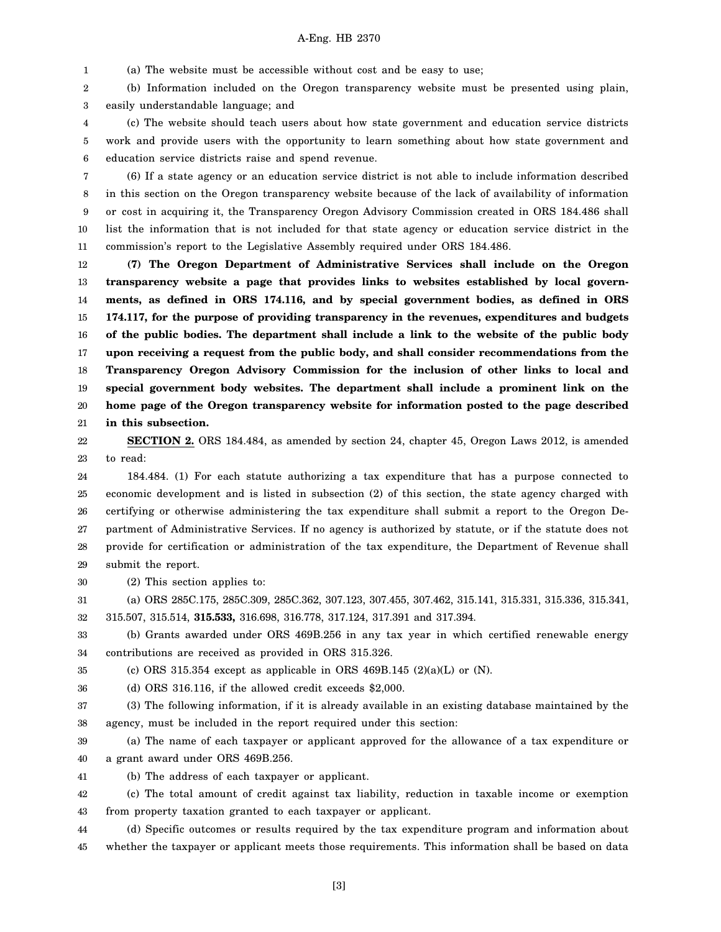1 (a) The website must be accessible without cost and be easy to use;

2 3 (b) Information included on the Oregon transparency website must be presented using plain, easily understandable language; and

4 5 6 (c) The website should teach users about how state government and education service districts work and provide users with the opportunity to learn something about how state government and education service districts raise and spend revenue.

7 8 9 10 11 (6) If a state agency or an education service district is not able to include information described in this section on the Oregon transparency website because of the lack of availability of information or cost in acquiring it, the Transparency Oregon Advisory Commission created in ORS 184.486 shall list the information that is not included for that state agency or education service district in the commission's report to the Legislative Assembly required under ORS 184.486.

12 13 14 15 16 17 18 19 20 21 **(7) The Oregon Department of Administrative Services shall include on the Oregon transparency website a page that provides links to websites established by local governments, as defined in ORS 174.116, and by special government bodies, as defined in ORS 174.117, for the purpose of providing transparency in the revenues, expenditures and budgets of the public bodies. The department shall include a link to the website of the public body upon receiving a request from the public body, and shall consider recommendations from the Transparency Oregon Advisory Commission for the inclusion of other links to local and special government body websites. The department shall include a prominent link on the home page of the Oregon transparency website for information posted to the page described in this subsection.**

22 23 **SECTION 2.** ORS 184.484, as amended by section 24, chapter 45, Oregon Laws 2012, is amended to read:

24 25 26 27 28 29 184.484. (1) For each statute authorizing a tax expenditure that has a purpose connected to economic development and is listed in subsection (2) of this section, the state agency charged with certifying or otherwise administering the tax expenditure shall submit a report to the Oregon Department of Administrative Services. If no agency is authorized by statute, or if the statute does not provide for certification or administration of the tax expenditure, the Department of Revenue shall submit the report.

30 (2) This section applies to:

31 (a) ORS 285C.175, 285C.309, 285C.362, 307.123, 307.455, 307.462, 315.141, 315.331, 315.336, 315.341,

32 315.507, 315.514, **315.533,** 316.698, 316.778, 317.124, 317.391 and 317.394.

33 34 (b) Grants awarded under ORS 469B.256 in any tax year in which certified renewable energy contributions are received as provided in ORS 315.326.

35 (c) ORS 315.354 except as applicable in ORS 469B.145  $(2)(a)(L)$  or  $(N)$ .

36 (d) ORS 316.116, if the allowed credit exceeds \$2,000.

37 38 (3) The following information, if it is already available in an existing database maintained by the agency, must be included in the report required under this section:

39 40 (a) The name of each taxpayer or applicant approved for the allowance of a tax expenditure or a grant award under ORS 469B.256.

41 (b) The address of each taxpayer or applicant.

42 43 (c) The total amount of credit against tax liability, reduction in taxable income or exemption from property taxation granted to each taxpayer or applicant.

44 45 (d) Specific outcomes or results required by the tax expenditure program and information about whether the taxpayer or applicant meets those requirements. This information shall be based on data